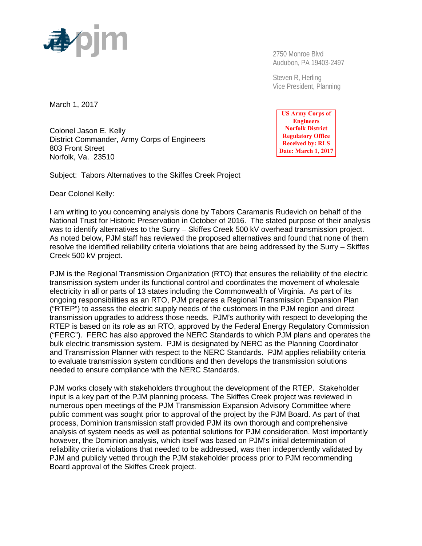

 2750 Monroe Blvd Audubon, PA 19403-2497

Steven R, Herling Vice President, Planning

March 1, 2017

Colonel Jason E. Kelly District Commander, Army Corps of Engineers 803 Front Street Norfolk, Va. 23510

Subject: Tabors Alternatives to the Skiffes Creek Project

Dear Colonel Kelly:

I am writing to you concerning analysis done by Tabors Caramanis Rudevich on behalf of the National Trust for Historic Preservation in October of 2016. The stated purpose of their analysis was to identify alternatives to the Surry – Skiffes Creek 500 kV overhead transmission project. As noted below, PJM staff has reviewed the proposed alternatives and found that none of them resolve the identified reliability criteria violations that are being addressed by the Surry – Skiffes Creek 500 kV project.

PJM is the Regional Transmission Organization (RTO) that ensures the reliability of the electric transmission system under its functional control and coordinates the movement of wholesale electricity in all or parts of 13 states including the Commonwealth of Virginia. As part of its ongoing responsibilities as an RTO, PJM prepares a Regional Transmission Expansion Plan ("RTEP") to assess the electric supply needs of the customers in the PJM region and direct transmission upgrades to address those needs. PJM's authority with respect to developing the RTEP is based on its role as an RTO, approved by the Federal Energy Regulatory Commission ("FERC"). FERC has also approved the NERC Standards to which PJM plans and operates the bulk electric transmission system. PJM is designated by NERC as the Planning Coordinator and Transmission Planner with respect to the NERC Standards. PJM applies reliability criteria to evaluate transmission system conditions and then develops the transmission solutions needed to ensure compliance with the NERC Standards.

PJM works closely with stakeholders throughout the development of the RTEP. Stakeholder input is a key part of the PJM planning process. The Skiffes Creek project was reviewed in numerous open meetings of the PJM Transmission Expansion Advisory Committee where public comment was sought prior to approval of the project by the PJM Board. As part of that process, Dominion transmission staff provided PJM its own thorough and comprehensive analysis of system needs as well as potential solutions for PJM consideration. Most importantly however, the Dominion analysis, which itself was based on PJM's initial determination of reliability criteria violations that needed to be addressed, was then independently validated by PJM and publicly vetted through the PJM stakeholder process prior to PJM recommending Board approval of the Skiffes Creek project.